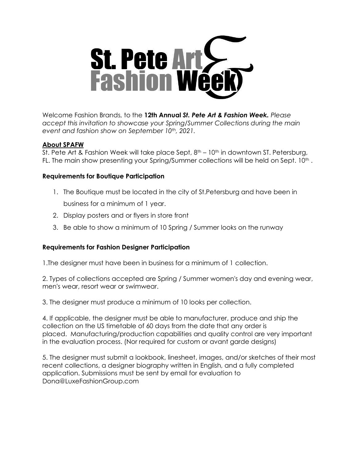

Welcome Fashion Brands, to the **12th Annual** *St. Pete Art & Fashion Week. Please accept this invitation to showcase your Spring/Summer Collections during the main event and fashion show on September 10th, 2021.* 

# **About SPAFW**

St. Pete Art & Fashion Week will take place Sept,  $8<sup>th</sup> - 10<sup>th</sup>$  in downtown ST. Petersburg, FL. The main show presenting your Spring/Summer collections will be held on Sept. 10<sup>th</sup>.

# **Requirements for Boutique Participation**

- 1. The Boutique must be located in the city of St.Petersburg and have been in business for a minimum of 1 year.
- 2. Display posters and or flyers in store front
- 3. Be able to show a minimum of 10 Spring / Summer looks on the runway

# **Requirements for Fashion Designer Participation**

1.The designer must have been in business for a minimum of 1 collection.

2. Types of collections accepted are Spring / Summer women's day and evening wear, men's wear, resort wear or swimwear.

3. The designer must produce a minimum of 10 looks per collection.

4. If applicable, the designer must be able to manufacturer, produce and ship the collection on the US timetable of 60 days from the date that any order is placed. Manufacturing/production capabilities and quality control are very important in the evaluation process. (Nor required for custom or avant garde designs)

5. The designer must submit a lookbook, linesheet, images, and/or sketches of their most recent collections, a designer biography written in English, and a fully completed application. Submissions must be sent by email for evaluation to Dona@LuxeFashionGroup.com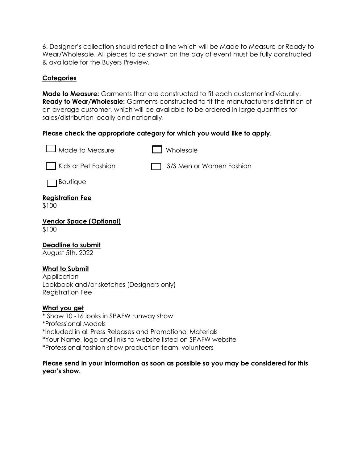6. Designer's collection should reflect a line which will be Made to Measure or Ready to Wear/Wholesale. All pieces to be shown on the day of event must be fully constructed & available for the Buyers Preview.

### **Categories**

**Made to Measure:** Garments that are constructed to fit each customer individually. **Ready to Wear/Wholesale:** Garments constructed to fit the manufacturer's definition of an average customer, which will be available to be ordered in large quantities for sales/distribution locally and nationally.

#### **Please check the appropriate category for which you would like to apply.**

| Made to Measure                                                                                              | Wholesale                |
|--------------------------------------------------------------------------------------------------------------|--------------------------|
| Kids or Pet Fashion                                                                                          | S/S Men or Women Fashion |
| Boutique                                                                                                     |                          |
| <u>Registration Fee</u><br>\$100                                                                             |                          |
| <u> Vendor Space (Optional)</u><br>\$100                                                                     |                          |
| <b>Deadline to submit</b><br>August 5th, 2022                                                                |                          |
| <b>What to Submit</b><br>Application<br>Lookbook and/or sketches (Designers only)<br><b>Registration Fee</b> |                          |
| <u>What you get</u><br>* Show 10-16 looks in SPAFW runway show<br>*Professional Models                       |                          |

\*Included in all Press Releases and Promotional Materials

\*Your Name, logo and links to website listed on SPAFW website

\*Professional fashion show production team, volunteers

#### **Please send in your information as soon as possible so you may be considered for this year's show.**